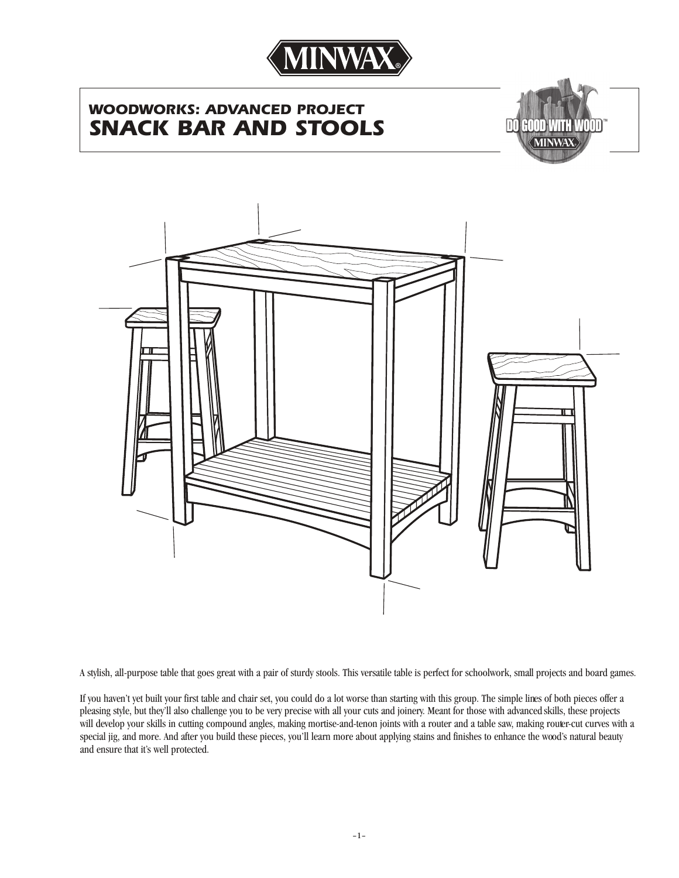

# *WOODWORKS: ADVANCED PROJECT SNACK BAR AND STOOLS*





A stylish, all-purpose table that goes great with a pair of sturdy stools. This versatile table is perfect for schoolwork, small projects and board games.

If you haven't yet built your first table and chair set, you could do a lot worse than starting with this group. The simple lines of both pieces offer a pleasing style, but they'll also challenge you to be very precise with all your cuts and joinery. Meant for those with advanced skills, these projects will develop your skills in cutting compound angles, making mortise-and-tenon joints with a router and a table saw, making router-cut curves with a special jig, and more. And after you build these pieces, you'll learn more about applying stains and finishes to enhance the wood's natural beauty and ensure that it's well protected.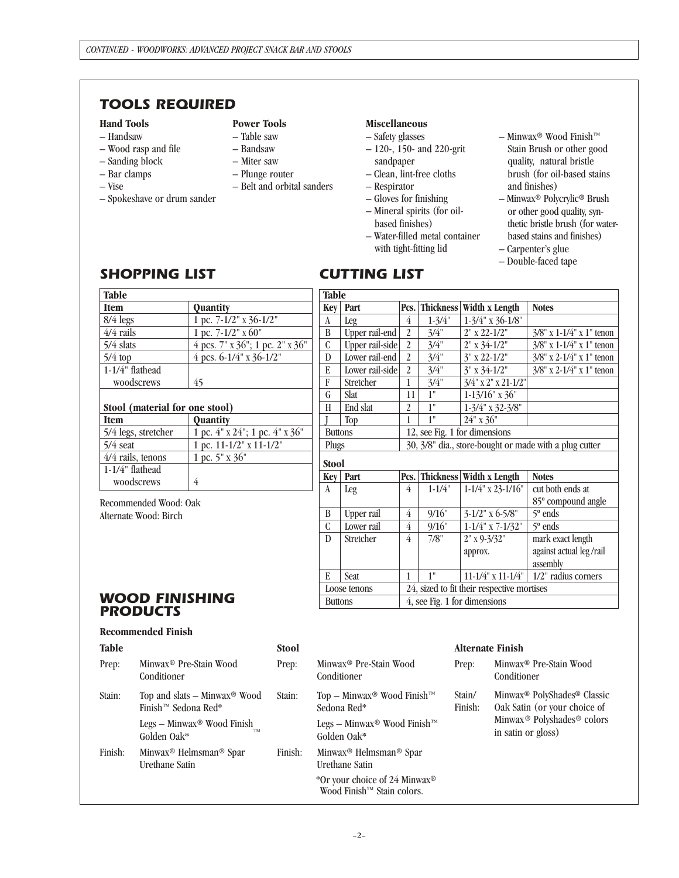# *TOOLS REQUIRED*

#### **Hand Tools**

- Handsaw
- Wood rasp and file
- Sanding block
- Bar clamps
- Vise

– Spokeshave or drum sander

#### **Power Tools**

- Table saw
- Bandsaw
- Miter saw
- Plunge router
- Belt and orbital sanders
- 

#### **Miscellaneous**

- Safety glasses
- 120-, 150- and 220-grit sandpaper
- Clean, lint-free cloths
- Respirator
- Gloves for finishing – Mineral spirits (for oil-
- based finishes)
- Water-filled metal container with tight-fitting lid
- Minwax® Wood Finish™ Stain Brush or other good
- quality, natural bristle brush (for oil-based stains and finishes) – Minwax® Polycrylic**®** Brush
- or other good quality, synthetic bristle brush (for waterbased stains and finishes)
- Carpenter's glue
- Double-faced tape

# *SHOPPING LIST*

# *CUTTING LIST*

| <b>Table</b>                   |                                 | <b>Table</b>                                           |                                                 |                                                        |                                            |                        |                             |  |  |
|--------------------------------|---------------------------------|--------------------------------------------------------|-------------------------------------------------|--------------------------------------------------------|--------------------------------------------|------------------------|-----------------------------|--|--|
| <b>Item</b>                    | Quantity                        | <b>Key</b>                                             | Part                                            | Pcs.                                                   | <b>Thickness</b>                           | Width x Length         | <b>Notes</b>                |  |  |
| $8/4$ legs                     | 1 pc. 7-1/2" x 36-1/2"          | A                                                      | Leg                                             | 4                                                      | $1 - \frac{3}{4}$                          | $1-3/4$ " x 36-1/8"    |                             |  |  |
| $4/4$ rails                    | 1 pc. $7-1/2$ " x 60"           | B                                                      | Upper rail-end                                  | $\overline{2}$                                         | 3/4"                                       | $2" \times 22 - 1/2"$  | $3/8$ " x 1-1/4" x 1" tenon |  |  |
| 5/4 slats                      | 4 pcs. 7" x 36"; 1 pc. 2" x 36" | $\mathbf C$                                            | Upper rail-side                                 | $\overline{2}$                                         | 3/4"                                       | $2"$ x 34-1/2"         | $3/8$ " x 1-1/4" x 1" tenon |  |  |
| $5/4$ top                      | 4 pcs. $6-1/4$ " x $36-1/2$ "   | D                                                      | Lower rail-end                                  | $\overline{2}$                                         | 3/4"                                       | $3"$ x 22-1/2"         | $3/8$ " x 2-1/4" x 1" tenon |  |  |
| 1-1/4" flathead                |                                 | E                                                      | Lower rail-side                                 | 2                                                      | 3/4"                                       | $3"$ x 34-1/2"         | $3/8$ " x 2-1/4" x 1" tenon |  |  |
| woodscrews                     | 45                              | F                                                      | Stretcher                                       |                                                        | 3/4"                                       | $3/4$ " x 2" x 21-1/2" |                             |  |  |
|                                |                                 | G                                                      | Slat                                            | 11                                                     | 1"                                         | $1-13/16$ " x 36"      |                             |  |  |
| Stool (material for one stool) |                                 | H                                                      | End slat                                        | 2                                                      | 1"                                         | $1-3/4$ " x 32-3/8"    |                             |  |  |
| <b>Item</b>                    | <b>Quantity</b>                 |                                                        | Top                                             | 1                                                      | 1"                                         | $24"$ x 36"            |                             |  |  |
| 5/4 legs, stretcher            | 1 pc. 4" x 24"; 1 pc. 4" x 36"  |                                                        | 12, see Fig. 1 for dimensions<br><b>Buttons</b> |                                                        |                                            |                        |                             |  |  |
| $5/4$ seat                     | 1 pc. 11-1/2" x 11-1/2"         | Plugs                                                  |                                                 | 30, 3/8" dia., store-bought or made with a plug cutter |                                            |                        |                             |  |  |
| 4/4 rails, tenons              | 1 pc. 5" x 36"                  |                                                        | <b>Stool</b>                                    |                                                        |                                            |                        |                             |  |  |
| 1-1/4" flathead                |                                 | Thickness Width x Length<br>Part<br>Pcs.<br><b>Key</b> |                                                 |                                                        |                                            |                        | <b>Notes</b>                |  |  |
| woodscrews                     | 4                               | A                                                      | Leg                                             | 4                                                      | $1 - 1/4"$                                 | $1-1/4$ " x 23-1/16"   | cut both ends at            |  |  |
| Recommended Wood: Oak          |                                 |                                                        |                                                 |                                                        |                                            |                        | 85° compound angle          |  |  |
| Alternate Wood: Birch          |                                 | B                                                      | Upper rail                                      | $\overline{4}$                                         | 9/16"                                      | $3-1/2$ " x 6-5/8"     | $5^{\circ}$ ends            |  |  |
|                                |                                 | $\mathcal C$                                           | Lower rail                                      | 4                                                      | 9/16"                                      | $1 - 1/4$ " x 7-1/32"  | $5^{\circ}$ ends            |  |  |
|                                |                                 | $\mathbf{D}$                                           | Stretcher                                       | 4                                                      | 7/8"                                       | $2"$ x 9-3/32"         | mark exact length           |  |  |
|                                |                                 |                                                        |                                                 |                                                        |                                            | approx.                | against actual leg/rail     |  |  |
|                                |                                 |                                                        |                                                 |                                                        |                                            |                        | assembly                    |  |  |
|                                |                                 | E                                                      | Seat                                            | 1                                                      | 1"                                         | 11-1/4" x 11-1/4"      | 1/2" radius corners         |  |  |
|                                |                                 |                                                        | Loose tenons                                    |                                                        | 24, sized to fit their respective mortises |                        |                             |  |  |
| <b>WOOD FINISHING</b>          |                                 |                                                        | <b>Buttons</b>                                  |                                                        | 4, see Fig. 1 for dimensions               |                        |                             |  |  |
| PRODUCTS                       |                                 |                                                        |                                                 |                                                        |                                            |                        |                             |  |  |

#### *WOOD FINISHING PRODUCTS*

#### **Recommended Finish**

| <b>Table</b> |                                                                  | <b>Stool</b> |                                                                                     |                   | <b>Alternate Finish</b>                                                                                                                                         |
|--------------|------------------------------------------------------------------|--------------|-------------------------------------------------------------------------------------|-------------------|-----------------------------------------------------------------------------------------------------------------------------------------------------------------|
| Prep:        | Minwax <sup>®</sup> Pre-Stain Wood<br>Conditioner                | Prep:        | Minwax <sup>®</sup> Pre-Stain Wood<br>Conditioner                                   | Prep:             | Minwax <sup>®</sup> Pre-Stain Wood<br>Conditioner                                                                                                               |
| Stain:       | Top and slats $-$ Minwax® Wood<br>Finish™ Sedona Red*            | Stain:       | Top – Minwax <sup>®</sup> Wood Finish <sup>™</sup><br>Sedona Red*                   | Stain/<br>Finish: | Minwax <sup>®</sup> PolyShades <sup>®</sup> Classic<br>Oak Satin (or your choice of<br>Minwax <sup>®</sup> Polyshades <sup>®</sup> colors<br>in satin or gloss) |
|              | Legs – Minwax <sup>®</sup> Wood Finish<br>Golden Oak*            |              | Legs – Minwax <sup>®</sup> Wood Finish™<br>Golden Oak*                              |                   |                                                                                                                                                                 |
| Finish:      | Minwax <sup>®</sup> Helmsman <sup>®</sup> Spar<br>Urethane Satin | Finish:      | Minwax <sup>®</sup> Helmsman <sup>®</sup> Spar<br>Urethane Satin                    |                   |                                                                                                                                                                 |
|              |                                                                  |              | *Or your choice of 24 Minwax <sup>®</sup><br>Wood Finish <sup>™</sup> Stain colors. |                   |                                                                                                                                                                 |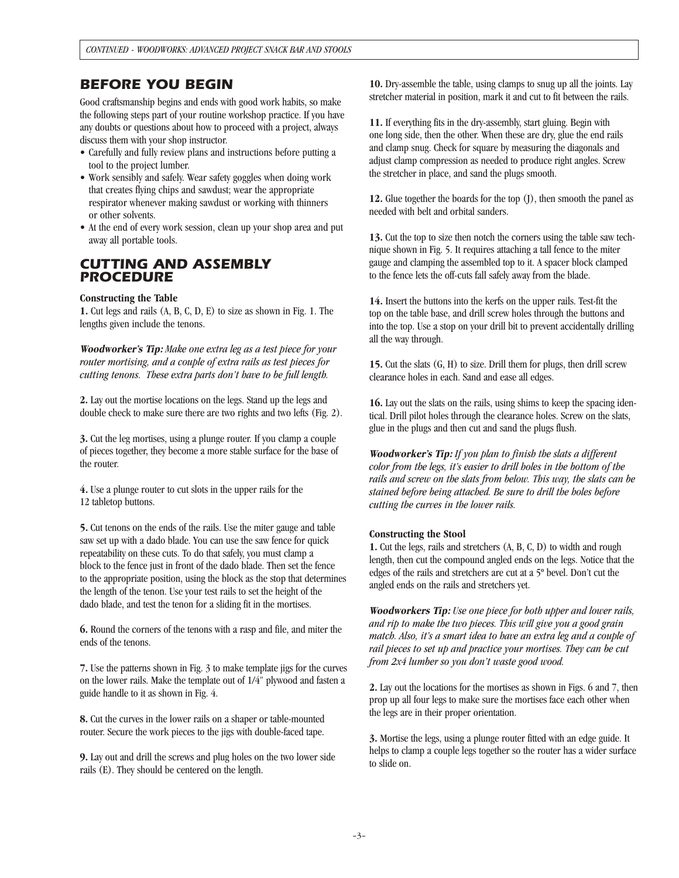### *BEFORE YOU BEGIN*

Good craftsmanship begins and ends with good work habits, so make the following steps part of your routine workshop practice. If you have any doubts or questions about how to proceed with a project, always discuss them with your shop instructor.

- Carefully and fully review plans and instructions before putting a tool to the project lumber.
- Work sensibly and safely. Wear safety goggles when doing work that creates flying chips and sawdust; wear the appropriate respirator whenever making sawdust or working with thinners or other solvents.
- At the end of every work session, clean up your shop area and put away all portable tools.

#### *CUTTING AND ASSEMBLY PROCEDURE*

#### **Constructing the Table**

**1.** Cut legs and rails (A, B, C, D, E) to size as shown in Fig. 1. The lengths given include the tenons.

**Woodworker's Tip:** *Make one extra leg as a test piece for your router mortising, and a couple of extra rails as test pieces for cutting tenons. These extra parts don't have to be full length.*

**2.** Lay out the mortise locations on the legs. Stand up the legs and double check to make sure there are two rights and two lefts (Fig. 2).

**3.** Cut the leg mortises, using a plunge router. If you clamp a couple of pieces together, they become a more stable surface for the base of the router.

**4.** Use a plunge router to cut slots in the upper rails for the 12 tabletop buttons.

**5.** Cut tenons on the ends of the rails. Use the miter gauge and table saw set up with a dado blade. You can use the saw fence for quick repeatability on these cuts. To do that safely, you must clamp a block to the fence just in front of the dado blade. Then set the fence to the appropriate position, using the block as the stop that determines the length of the tenon. Use your test rails to set the height of the dado blade, and test the tenon for a sliding fit in the mortises.

**6.** Round the corners of the tenons with a rasp and file, and miter the ends of the tenons.

**7.** Use the patterns shown in Fig. 3 to make template jigs for the curves on the lower rails. Make the template out of 1/4" plywood and fasten a guide handle to it as shown in Fig. 4.

**8.** Cut the curves in the lower rails on a shaper or table-mounted router. Secure the work pieces to the jigs with double-faced tape.

**9.** Lay out and drill the screws and plug holes on the two lower side rails (E). They should be centered on the length.

**10.** Dry-assemble the table, using clamps to snug up all the joints. Lay stretcher material in position, mark it and cut to fit between the rails.

**11.** If everything fits in the dry-assembly, start gluing. Begin with one long side, then the other. When these are dry, glue the end rails and clamp snug. Check for square by measuring the diagonals and adjust clamp compression as needed to produce right angles. Screw the stretcher in place, and sand the plugs smooth.

**12.** Glue together the boards for the top (J), then smooth the panel as needed with belt and orbital sanders.

**13.** Cut the top to size then notch the corners using the table saw technique shown in Fig. 5. It requires attaching a tall fence to the miter gauge and clamping the assembled top to it. A spacer block clamped to the fence lets the off-cuts fall safely away from the blade.

**14.** Insert the buttons into the kerfs on the upper rails. Test-fit the top on the table base, and drill screw holes through the buttons and into the top. Use a stop on your drill bit to prevent accidentally drilling all the way through.

**15.** Cut the slats (G, H) to size. Drill them for plugs, then drill screw clearance holes in each. Sand and ease all edges.

**16.** Lay out the slats on the rails, using shims to keep the spacing identical. Drill pilot holes through the clearance holes. Screw on the slats, glue in the plugs and then cut and sand the plugs flush.

**Woodworker's Tip:** *If you plan to finish the slats a different color from the legs, it's easier to drill holes in the bottom of the rails and screw on the slats from below. This way, the slats can be stained before being attached. Be sure to drill the holes before cutting the curves in the lower rails.* 

#### **Constructing the Stool**

**1.** Cut the legs, rails and stretchers (A, B, C, D) to width and rough length, then cut the compound angled ends on the legs. Notice that the edges of the rails and stretchers are cut at a 5º bevel. Don't cut the angled ends on the rails and stretchers yet.

**Woodworkers Tip:** *Use one piece for both upper and lower rails, and rip to make the two pieces. This will give you a good grain match. Also, it's a smart idea to have an extra leg and a couple of rail pieces to set up and practice your mortises. They can be cut from 2x4 lumber so you don't waste good wood.*

**2.** Lay out the locations for the mortises as shown in Figs. 6 and 7, then prop up all four legs to make sure the mortises face each other when the legs are in their proper orientation.

**3.** Mortise the legs, using a plunge router fitted with an edge guide. It helps to clamp a couple legs together so the router has a wider surface to slide on.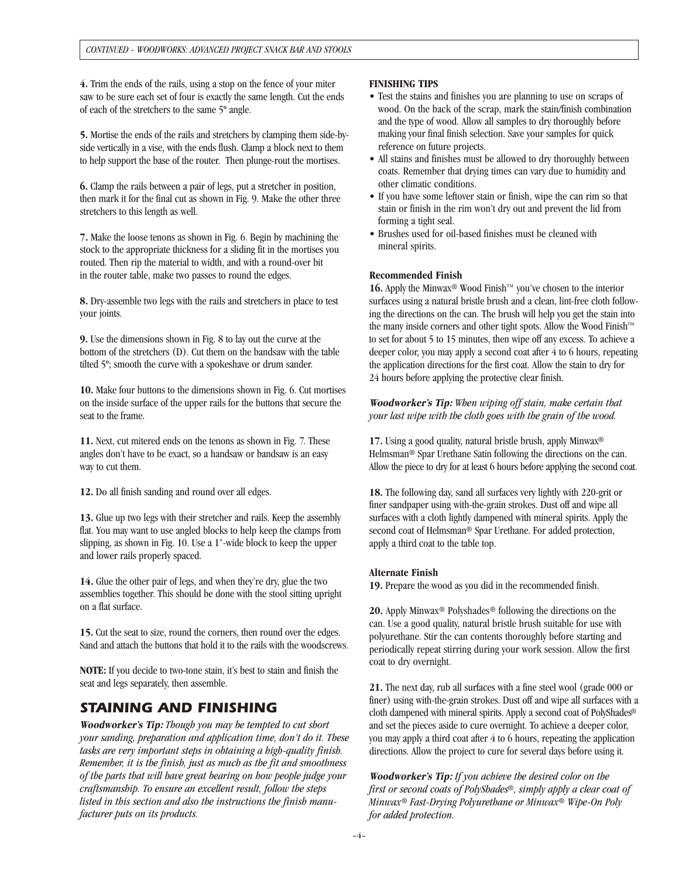**4.** Trim the ends of the rails, using a stop on the fence of your miter saw to be sure each set of four is exactly the same length. Cut the ends of each of the stretchers to the same 5º angle.

**5.** Mortise the ends of the rails and stretchers by clamping them side-byside vertically in a vise, with the ends flush. Clamp a block next to them to help support the base of the router. Then plunge-rout the mortises.

**6.** Clamp the rails between a pair of legs, put a stretcher in position, then mark it for the final cut as shown in Fig. 9. Make the other three stretchers to this length as well.

**7.** Make the loose tenons as shown in Fig. 6. Begin by machining the stock to the appropriate thickness for a sliding fit in the mortises you routed. Then rip the material to width, and with a round-over bit in the router table, make two passes to round the edges.

**8.** Dry-assemble two legs with the rails and stretchers in place to test your joints.

**9.** Use the dimensions shown in Fig. 8 to lay out the curve at the bottom of the stretchers (D). Cut them on the bandsaw with the table tilted 5º; smooth the curve with a spokeshave or drum sander.

**10.** Make four buttons to the dimensions shown in Fig. 6. Cut mortises on the inside surface of the upper rails for the buttons that secure the seat to the frame.

**11.** Next, cut mitered ends on the tenons as shown in Fig. 7. These angles don't have to be exact, so a handsaw or bandsaw is an easy way to cut them.

**12.** Do all finish sanding and round over all edges.

**13.** Glue up two legs with their stretcher and rails. Keep the assembly flat. You may want to use angled blocks to help keep the clamps from slipping, as shown in Fig. 10. Use a 1"-wide block to keep the upper and lower rails properly spaced.

**14.** Glue the other pair of legs, and when they're dry, glue the two assemblies together. This should be done with the stool sitting upright on a flat surface.

**15.** Cut the seat to size, round the corners, then round over the edges. Sand and attach the buttons that hold it to the rails with the woodscrews.

**NOTE:** If you decide to two-tone stain, it's best to stain and finish the seat and legs separately, then assemble.

# *STAINING AND FINISHING*

**Woodworker's Tip:** *Though you may be tempted to cut short your sanding, preparation and application time, don't do it. These tasks are very important steps in obtaining a high-quality finish. Remember, it is the finish, just as much as the fit and smoothness of the parts that will have great bearing on how people judge your craftsmanship. To ensure an excellent result, follow the steps listed in this section and also the instructions the finish manufacturer puts on its products.*

#### **FINISHING TIPS**

- Test the stains and finishes you are planning to use on scraps of wood. On the back of the scrap, mark the stain/finish combination and the type of wood. Allow all samples to dry thoroughly before making your final finish selection. Save your samples for quick reference on future projects.
- All stains and finishes must be allowed to dry thoroughly between coats. Remember that drying times can vary due to humidity and other climatic conditions.
- If you have some leftover stain or finish, wipe the can rim so that stain or finish in the rim won't dry out and prevent the lid from forming a tight seal.
- Brushes used for oil-based finishes must be cleaned with mineral spirits.

#### **Recommended Finish**

**16.** Apply the Minwax® Wood Finish™ you've chosen to the interior surfaces using a natural bristle brush and a clean, lint-free cloth following the directions on the can. The brush will help you get the stain into the many inside corners and other tight spots. Allow the Wood Finish™ to set for about 5 to 15 minutes, then wipe off any excess. To achieve a deeper color, you may apply a second coat after 4 to 6 hours, repeating the application directions for the first coat. Allow the stain to dry for 24 hours before applying the protective clear finish.

**Woodworker's Tip:** *When wiping off stain, make certain that your last wipe with the cloth goes with the grain of the wood.* 

**17.** Using a good quality, natural bristle brush, apply Minwax® Helmsman® Spar Urethane Satin following the directions on the can. Allow the piece to dry for at least 6 hours before applying the second coat.

**18.** The following day, sand all surfaces very lightly with 220-grit or finer sandpaper using with-the-grain strokes. Dust off and wipe all surfaces with a cloth lightly dampened with mineral spirits. Apply the second coat of Helmsman<sup>®</sup> Spar Urethane. For added protection, apply a third coat to the table top.

#### **Alternate Finish**

**19.** Prepare the wood as you did in the recommended finish.

**20.** Apply Minwax® Polyshades® following the directions on the can. Use a good quality, natural bristle brush suitable for use with polyurethane. Stir the can contents thoroughly before starting and periodically repeat stirring during your work session. Allow the first coat to dry overnight.

**21.** The next day, rub all surfaces with a fine steel wool (grade 000 or finer) using with-the-grain strokes. Dust off and wipe all surfaces with a cloth dampened with mineral spirits. Apply a second coat of PolyShades ® and set the pieces aside to cure overnight. To achieve a deeper color, you may apply a third coat after 4 to 6 hours, repeating the application directions. Allow the project to cure for several days before using it.

**Woodworker's Tip:** *If you achieve the desired color on the first or second coats of PolyShades®, simply apply a clear coat of Minwax® Fast-Drying Polyurethane or Minwax® Wipe-On Poly for added protection.*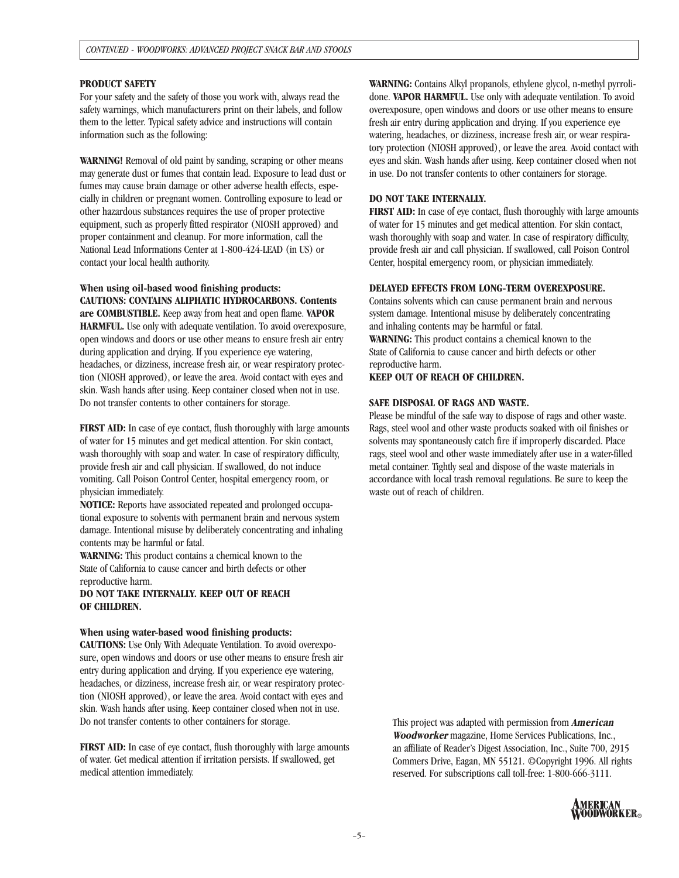#### **PRODUCT SAFETY**

For your safety and the safety of those you work with, always read the safety warnings, which manufacturers print on their labels, and follow them to the letter. Typical safety advice and instructions will contain information such as the following:

**WARNING!** Removal of old paint by sanding, scraping or other means may generate dust or fumes that contain lead. Exposure to lead dust or fumes may cause brain damage or other adverse health effects, especially in children or pregnant women. Controlling exposure to lead or other hazardous substances requires the use of proper protective equipment, such as properly fitted respirator (NIOSH approved) and proper containment and cleanup. For more information, call the National Lead Informations Center at 1-800-424-LEAD (in US) or contact your local health authority.

**When using oil-based wood finishing products: CAUTIONS: CONTAINS ALIPHATIC HYDROCARBONS. Contents**

**are COMBUSTIBLE.** Keep away from heat and open flame. **VAPOR HARMFUL.** Use only with adequate ventilation. To avoid overexposure, open windows and doors or use other means to ensure fresh air entry during application and drying. If you experience eye watering, headaches, or dizziness, increase fresh air, or wear respiratory protection (NIOSH approved), or leave the area. Avoid contact with eyes and skin. Wash hands after using. Keep container closed when not in use. Do not transfer contents to other containers for storage.

**FIRST AID:** In case of eye contact, flush thoroughly with large amounts of water for 15 minutes and get medical attention. For skin contact, wash thoroughly with soap and water. In case of respiratory difficulty, provide fresh air and call physician. If swallowed, do not induce vomiting. Call Poison Control Center, hospital emergency room, or physician immediately.

**NOTICE:** Reports have associated repeated and prolonged occupational exposure to solvents with permanent brain and nervous system damage. Intentional misuse by deliberately concentrating and inhaling contents may be harmful or fatal.

**WARNING:** This product contains a chemical known to the State of California to cause cancer and birth defects or other reproductive harm.

**DO NOT TAKE INTERNALLY. KEEP OUT OF REACH OF CHILDREN.**

#### **When using water-based wood finishing products:**

**CAUTIONS:** Use Only With Adequate Ventilation. To avoid overexposure, open windows and doors or use other means to ensure fresh air entry during application and drying. If you experience eye watering, headaches, or dizziness, increase fresh air, or wear respiratory protection (NIOSH approved), or leave the area. Avoid contact with eyes and skin. Wash hands after using. Keep container closed when not in use. Do not transfer contents to other containers for storage.

**FIRST AID:** In case of eye contact, flush thoroughly with large amounts of water. Get medical attention if irritation persists. If swallowed, get medical attention immediately.

**WARNING:** Contains Alkyl propanols, ethylene glycol, n-methyl pyrrolidone. **VAPOR HARMFUL.** Use only with adequate ventilation. To avoid overexposure, open windows and doors or use other means to ensure fresh air entry during application and drying. If you experience eye watering, headaches, or dizziness, increase fresh air, or wear respiratory protection (NIOSH approved), or leave the area. Avoid contact with eyes and skin. Wash hands after using. Keep container closed when not in use. Do not transfer contents to other containers for storage.

#### **DO NOT TAKE INTERNALLY.**

**FIRST AID:** In case of eye contact, flush thoroughly with large amounts of water for 15 minutes and get medical attention. For skin contact, wash thoroughly with soap and water. In case of respiratory difficulty, provide fresh air and call physician. If swallowed, call Poison Control Center, hospital emergency room, or physician immediately.

#### **DELAYED EFFECTS FROM LONG-TERM OVEREXPOSURE.**

Contains solvents which can cause permanent brain and nervous system damage. Intentional misuse by deliberately concentrating and inhaling contents may be harmful or fatal. **WARNING:** This product contains a chemical known to the State of California to cause cancer and birth defects or other reproductive harm.

**KEEP OUT OF REACH OF CHILDREN.**

#### **SAFE DISPOSAL OF RAGS AND WASTE.**

Please be mindful of the safe way to dispose of rags and other waste. Rags, steel wool and other waste products soaked with oil finishes or solvents may spontaneously catch fire if improperly discarded. Place rags, steel wool and other waste immediately after use in a water-filled metal container. Tightly seal and dispose of the waste materials in accordance with local trash removal regulations. Be sure to keep the waste out of reach of children.

This project was adapted with permission from **American Woodworker** magazine, Home Services Publications, Inc., an affiliate of Reader's Digest Association, Inc., Suite 700, 2915 Commers Drive, Eagan, MN 55121. ©Copyright 1996. All rights reserved. For subscriptions call toll-free: 1-800-666-3111.

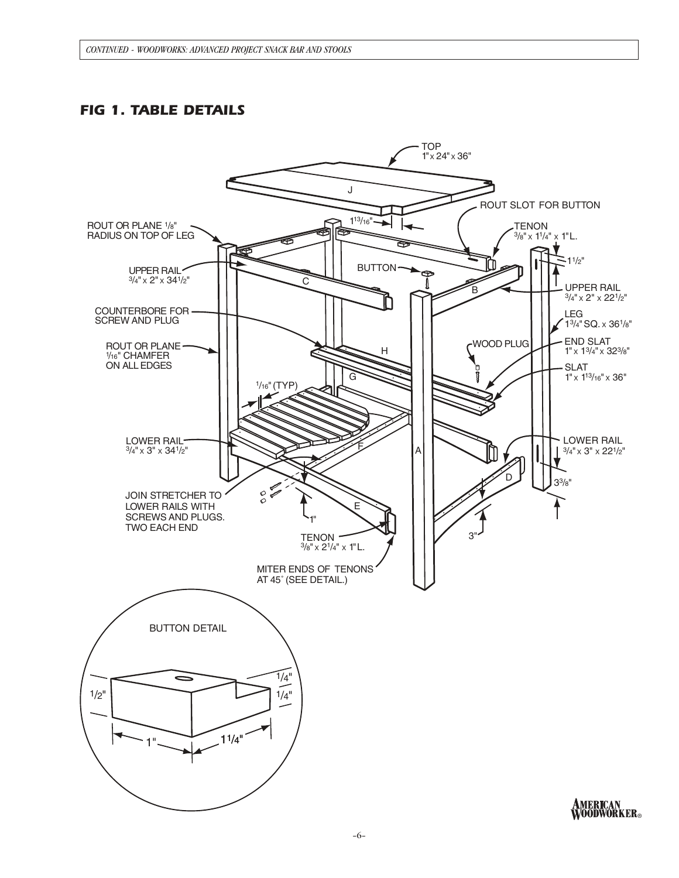# *FIG 1. TABLE DETAILS*

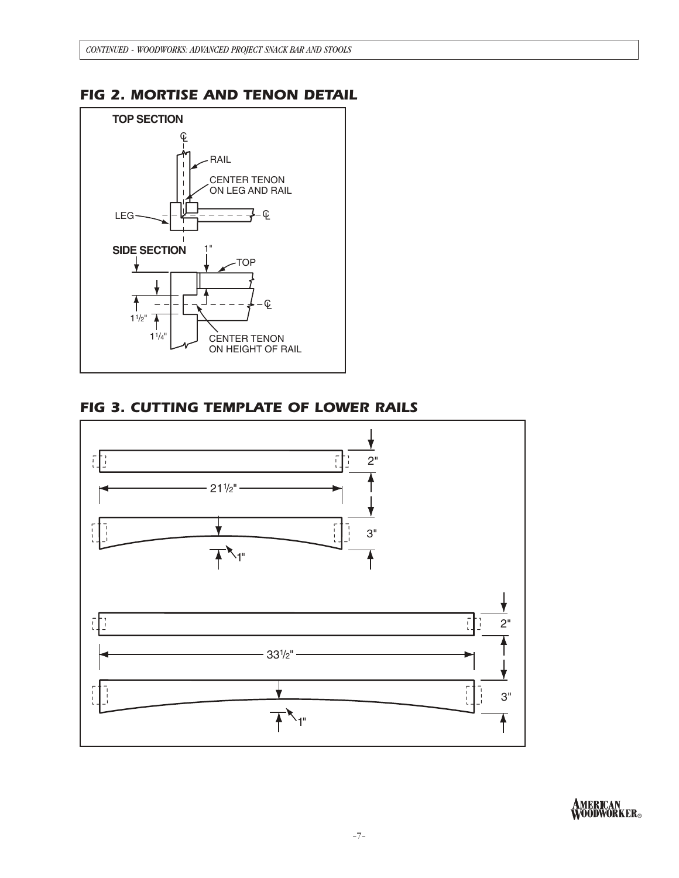# *FIG 2. MORTISE AND TENON DETAIL*



# *FIG 3. CUTTING TEMPLATE OF LOWER RAILS*



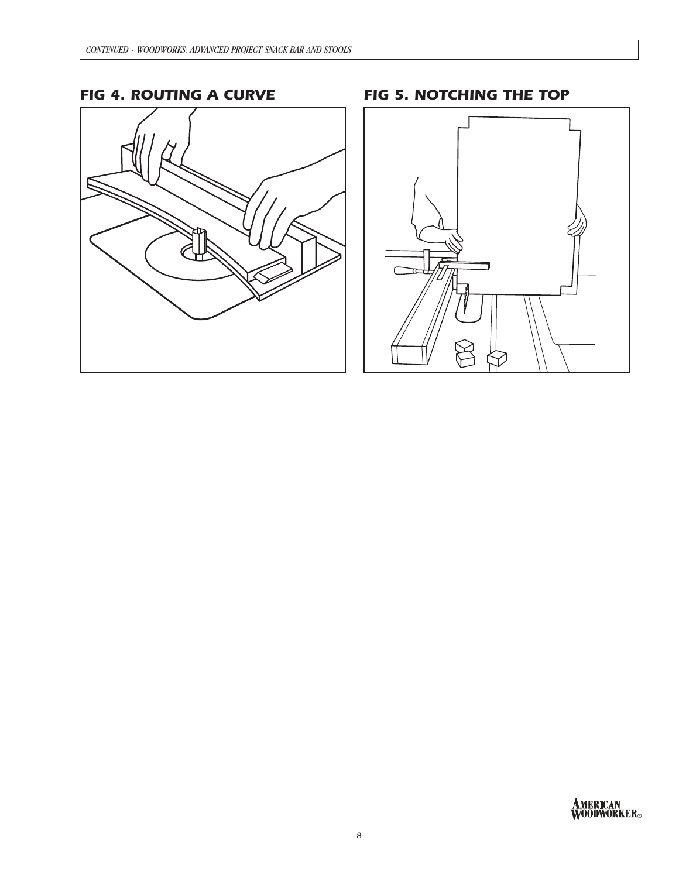# **FIG 4. ROUTING A CURVE**

# FIG 5. NOTCHING THE TOP



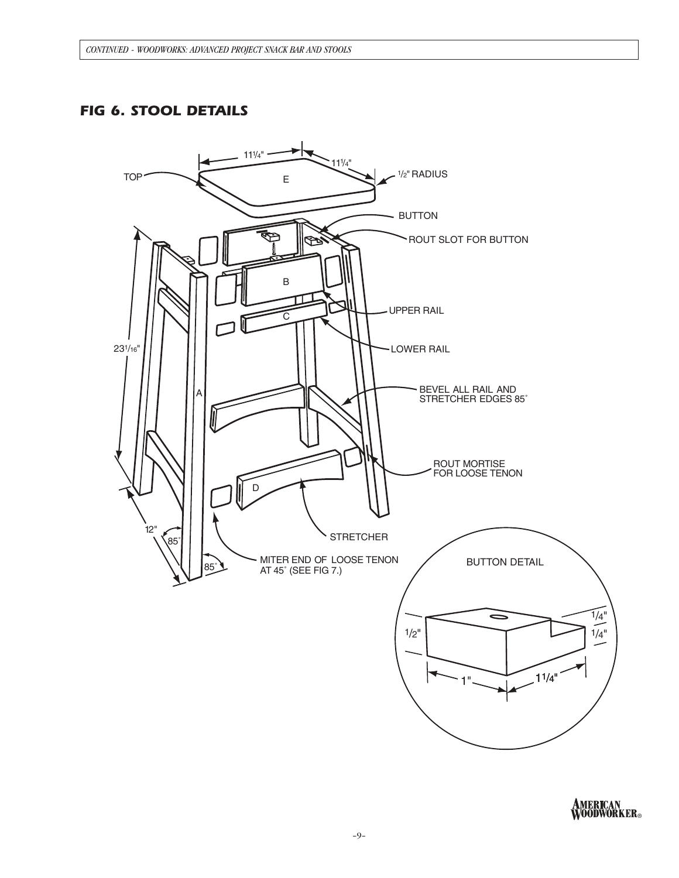# *FIG 6. STOOL DETAILS*



AMERICAN<br>WOODWORKER。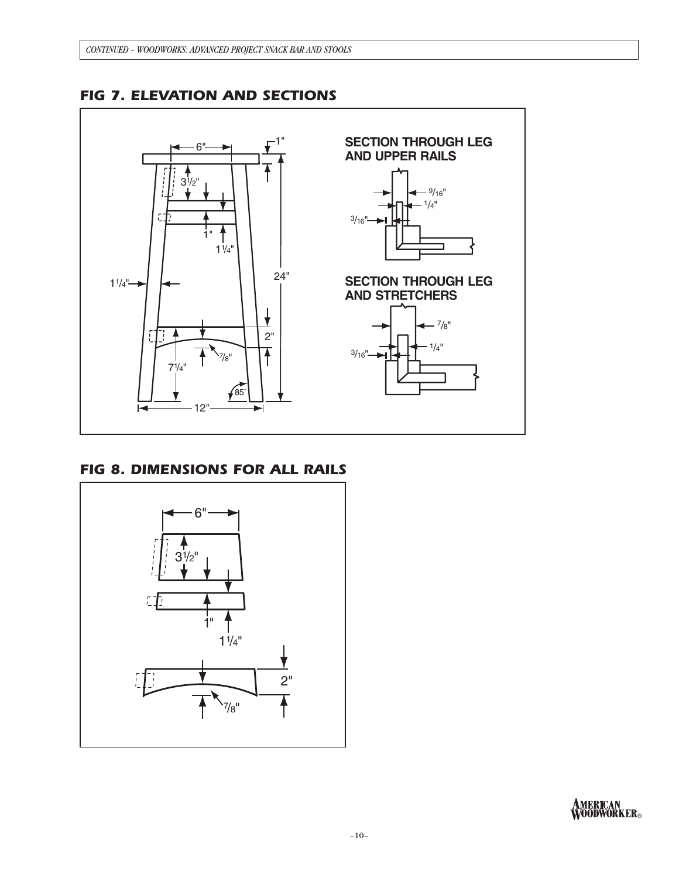

*FIG 7. ELEVATION AND SECTIONS*

# *FIG 8. DIMENSIONS FOR ALL RAILS*